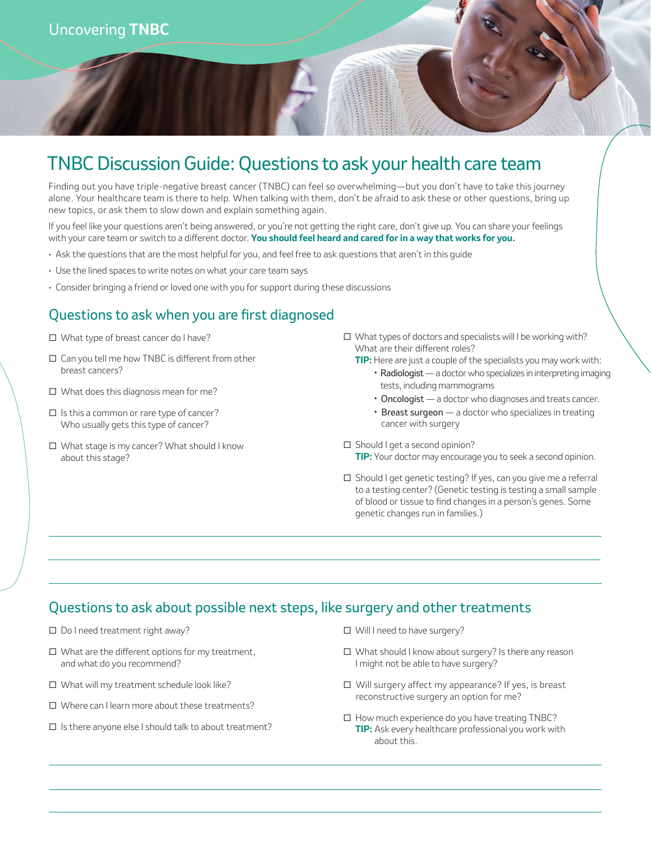# TNBC Discussion Guide: Questions to ask your health care team

Finding out you have triple-negative breast cancer (TNBC) can feel so overwhelming—but you don't have to take this journey alone. Your healthcare team is there to help. When talking with them, don't be afraid to ask these or other questions, bring up new topics, or ask them to slow down and explain something again.

If you feel like your questions aren't being answered, or you're not getting the right care, don't give up. You can share your feelings with your care team or switch to a different doctor. **You should feel heard and cared for in a way that works for you.**

- Ask the questions that are the most helpful for you, and feel free to ask questions that aren't in this guide
- Use the lined spaces to write notes on what your care team says
- Consider bringing a friend or loved one with you for support during these discussions

### Questions to ask when you are first diagnosed

- What type of breast cancer do I have?
- $\Box$  Can you tell me how TNBC is different from other breast cancers?
- □ What does this diagnosis mean for me?
- $\Box$  Is this a common or rare type of cancer? Who usually gets this type of cancer?
- □ What stage is my cancer? What should I know about this stage?
- $\Box$  What types of doctors and specialists will I be working with? What are their different roles?
	- **TIP:** Here are just a couple of the specialists you may work with:
		- •Radiologist a doctor who specializes in interpreting imaging tests, including mammograms
		- Oncologist a doctor who diagnoses and treats cancer.
		- Breast surgeon a doctor who specializes in treating cancer with surgery
- $\Box$  Should I get a second opinion? **TIP:** Your doctor may encourage you to seek a second opinion.
- $\square$  Should I get genetic testing? If yes, can you give me a referral to a testing center? (Genetic testing is testing a small sample of blood or tissue to find changes in a person's genes. Some genetic changes run in families.)

#### Questions to ask about possible next steps, like surgery and other treatments

- □ Do I need treatment right away?
- $\Box$  What are the different options for my treatment, and what do you recommend?
- □ What will my treatment schedule look like?
- □ Where can I learn more about these treatments?
- $\square$  Is there anyone else I should talk to about treatment?

□ Will I need to have surgery?

- What should I know about surgery? Is there any reason I might not be able to have surgery?
- Will surgery affect my appearance? If yes, is breast reconstructive surgery an option for me?
- $\Box$  How much experience do you have treating TNBC? **TIP:** Ask every healthcare professional you work with about this.